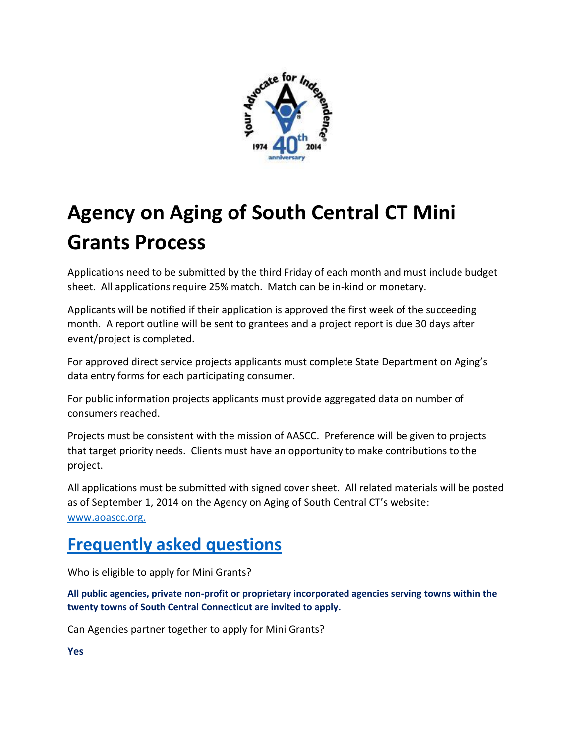

## **Agency on Aging of South Central CT Mini Grants Process**

Applications need to be submitted by the third Friday of each month and must include budget sheet. All applications require 25% match. Match can be in-kind or monetary.

Applicants will be notified if their application is approved the first week of the succeeding month. A report outline will be sent to grantees and a project report is due 30 days after event/project is completed.

For approved direct service projects applicants must complete State Department on Aging's data entry forms for each participating consumer.

For public information projects applicants must provide aggregated data on number of consumers reached.

Projects must be consistent with the mission of AASCC. Preference will be given to projects that target priority needs. Clients must have an opportunity to make contributions to the project.

All applications must be submitted with signed cover sheet. All related materials will be posted as of September 1, 2014 on the Agency on Aging of South Central CT's website: [www.aoascc.org.](http://www.aoascc.org/)

## **Frequently asked questions**

Who is eligible to apply for Mini Grants?

**All public agencies, private non-profit or proprietary incorporated agencies serving towns within the twenty towns of South Central Connecticut are invited to apply.**

Can Agencies partner together to apply for Mini Grants?

**Yes**